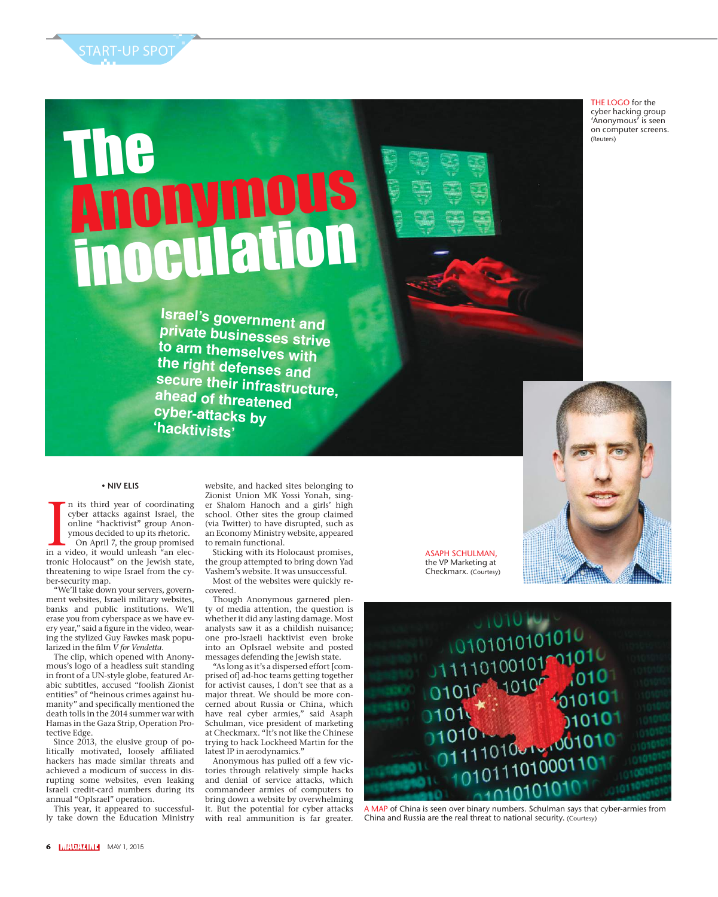START-UP SPOT

## The Anonymous inoculation

THE LOGO for the cyber hacking group 'Anonymous' is seen on computer screens. (Reuters)

**Israel's government and private businesses strive to arm themselves with the right defenses and secure their infrastructure, ahead of threatened cyber-attacks by 'hacktivists'**

## **• NIV ELIS**

In its third year of coordinating<br>cyber attacks against Israel, the<br>online "hacktivist" group Anon-<br>ymous decided to up its rhetoric.<br>On April 7, the group promised<br>in a video, it would unleash "an elecn its third year of coordinating cyber attacks against Israel, the online "hacktivist" group Anonymous decided to up its rhetoric. On April 7, the group promised tronic Holocaust" on the Jewish state, threatening to wipe Israel from the cyber-security map.

"We'll take down your servers, government websites, Israeli military websites, banks and public institutions. We'll erase you from cyberspace as we have every year," said a figure in the video, wearing the stylized Guy Fawkes mask popularized in the film *V for Vendetta*.

The clip, which opened with Anonymous's logo of a headless suit standing in front of a UN-style globe, featured Arabic subtitles, accused "foolish Zionist entities" of "heinous crimes against humanity" and specifically mentioned the death tolls in the 2014 summer war with Hamas in the Gaza Strip, Operation Protective Edge.

Since 2013, the elusive group of politically motivated, loosely affiliated hackers has made similar threats and achieved a modicum of success in disrupting some websites, even leaking Israeli credit-card numbers during its annual "OpIsrael" operation.

This year, it appeared to successfully take down the Education Ministry

Zionist Union MK Yossi Yonah, singer Shalom Hanoch and a girls' high school. Other sites the group claimed (via Twitter) to have disrupted, such as an Economy Ministry website, appeared to remain functional. Sticking with its Holocaust promises,

website, and hacked sites belonging to

the group attempted to bring down Yad Vashem's website. It was unsuccessful. Most of the websites were quickly re-

covered. Though Anonymous garnered plen-

ty of media attention, the question is whether it did any lasting damage. Most analysts saw it as a childish nuisance; one pro-Israeli hacktivist even broke into an OpIsrael website and posted messages defending the Jewish state.

"As long as it's a dispersed effort [comprised of] ad-hoc teams getting together for activist causes, I don't see that as a major threat. We should be more concerned about Russia or China, which have real cyber armies," said Asaph Schulman, vice president of marketing at Checkmarx. "It's not like the Chinese trying to hack Lockheed Martin for the latest IP in aerodynamics.'

Anonymous has pulled off a few victories through relatively simple hacks and denial of service attacks, which commandeer armies of computers to bring down a website by overwhelming it. But the potential for cyber attacks with real ammunition is far greater. ASAPH SCHULMAN, the VP Marketing at Checkmarx. (Courtesy)



A MAP of China is seen over binary numbers. Schulman says that cyber-armies from China and Russia are the real threat to national security. (Courtesy)